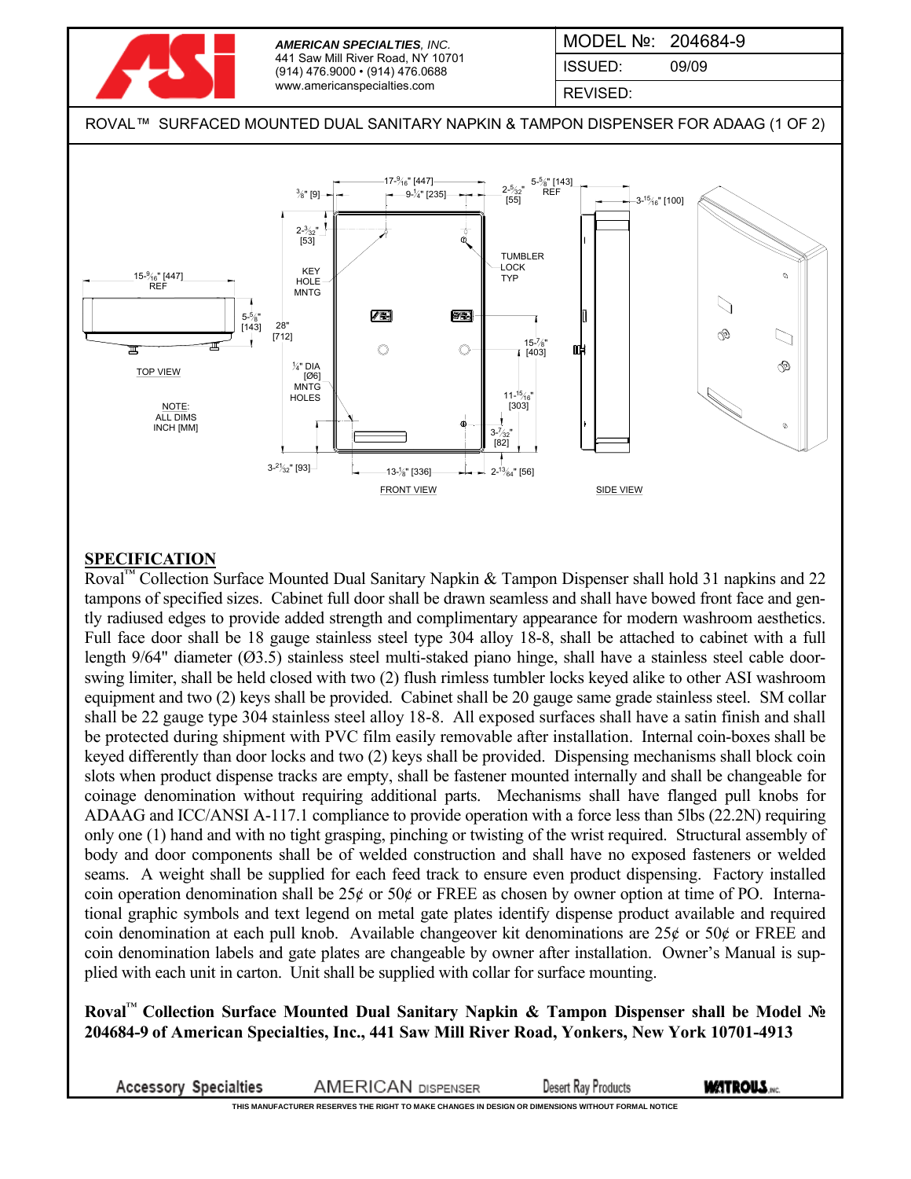

REVISED:

ROVAL™ SURFACED MOUNTED DUAL SANITARY NAPKIN & TAMPON DISPENSER FOR ADAAG (1 OF 2)



## **SPECIFICATION**

Roval™ Collection Surface Mounted Dual Sanitary Napkin & Tampon Dispenser shall hold 31 napkins and 22 tampons of specified sizes. Cabinet full door shall be drawn seamless and shall have bowed front face and gently radiused edges to provide added strength and complimentary appearance for modern washroom aesthetics. Full face door shall be 18 gauge stainless steel type 304 alloy 18-8, shall be attached to cabinet with a full length 9/64" diameter (Ø3.5) stainless steel multi-staked piano hinge, shall have a stainless steel cable doorswing limiter, shall be held closed with two (2) flush rimless tumbler locks keyed alike to other ASI washroom equipment and two (2) keys shall be provided. Cabinet shall be 20 gauge same grade stainless steel. SM collar shall be 22 gauge type 304 stainless steel alloy 18-8. All exposed surfaces shall have a satin finish and shall be protected during shipment with PVC film easily removable after installation. Internal coin-boxes shall be keyed differently than door locks and two (2) keys shall be provided. Dispensing mechanisms shall block coin slots when product dispense tracks are empty, shall be fastener mounted internally and shall be changeable for coinage denomination without requiring additional parts. Mechanisms shall have flanged pull knobs for ADAAG and ICC/ANSI A-117.1 compliance to provide operation with a force less than 5lbs (22.2N) requiring only one (1) hand and with no tight grasping, pinching or twisting of the wrist required. Structural assembly of body and door components shall be of welded construction and shall have no exposed fasteners or welded seams. A weight shall be supplied for each feed track to ensure even product dispensing. Factory installed coin operation denomination shall be  $25¢$  or  $50¢$  or FREE as chosen by owner option at time of PO. International graphic symbols and text legend on metal gate plates identify dispense product available and required coin denomination at each pull knob. Available changeover kit denominations are  $25¢$  or  $50¢$  or FREE and coin denomination labels and gate plates are changeable by owner after installation. Owner's Manual is supplied with each unit in carton. Unit shall be supplied with collar for surface mounting.

**Roval**™ **Collection Surface Mounted Dual Sanitary Napkin & Tampon Dispenser shall be Model № 204684-9 of American Specialties, Inc., 441 Saw Mill River Road, Yonkers, New York 10701-4913**

**Accessory Specialties AMERICAN DISPENSER Desert Ray Products WATROUS.**...

**THIS MANUFACTURER RESERVES THE RIGHT TO MAKE CHANGES IN DESIGN OR DIMENSIONS WITHOUT FORMAL NOTICE**